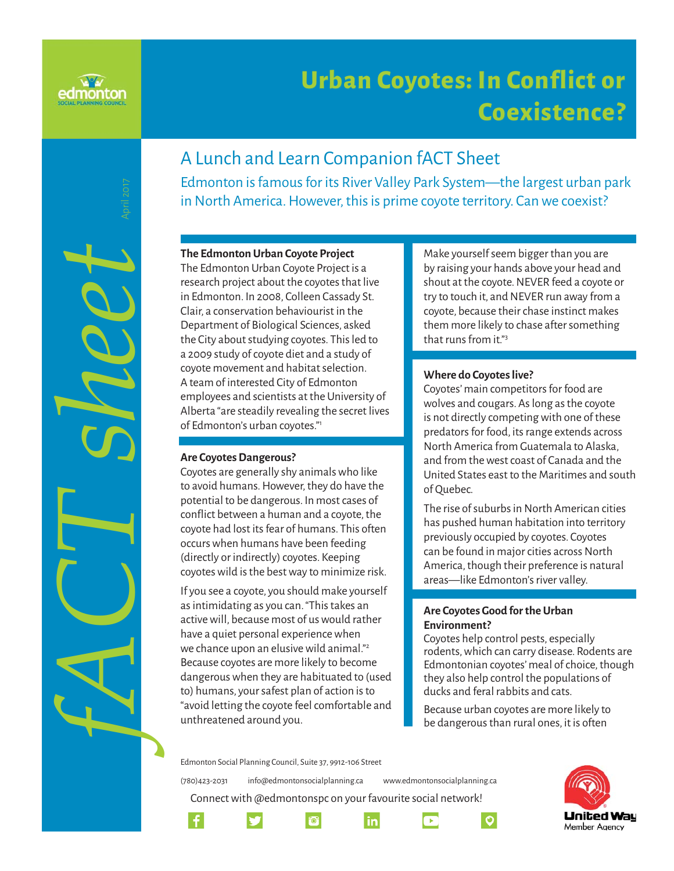

*fACT sheet* April 2017

# **Urban Coyotes: In Conflict or Coexistence? oexistence?**

## A Lunch and Learn Companion fACT Sheet

Edmonton is famous for its River Valley Park System—the largest urban park in North America. However, this is prime coyote territory. Can we coexist?

#### **The Edmonton Urban Coyote Project**

The Edmonton Urban Coyote Project is a research project about the coyotes that live in Edmonton. In 2008, Colleen Cassady St. Clair, a conservation behaviourist in the Department of Biological Sciences, asked the City about studying coyotes. This led to a 2009 study of coyote diet and a study of coyote movement and habitat selection. A team of interested City of Edmonton employees and scientists at the University of Alberta "are steadily revealing the secret lives of Edmonton's urban coyotes."1

#### **Are Coyotes Dangerous?**

Coyotes are generally shy animals who like to avoid humans. However, they do have the potential to be dangerous. In most cases of conflict between a human and a coyote, the coyote had lost its fear of humans. This often occurs when humans have been feeding (directly or indirectly) coyotes. Keeping coyotes wild is the best way to minimize risk.

If you see a coyote, you should make yourself as intimidating as you can. "This takes an active will, because most of us would rather have a quiet personal experience when we chance upon an elusive wild animal."<sup>2</sup> Because coyotes are more likely to become dangerous when they are habituated to (used to) humans, your safest plan of action is to "avoid letting the coyote feel comfortable and unthreatened around you.

Make yourself seem bigger than you are by raising your hands above your head and shout at the coyote. NEVER feed a coyote or try to touch it, and NEVER run away from a coyote, because their chase instinct makes them more likely to chase after something that runs from it."3

#### **Where do Coyotes live?**

Coyotes' main competitors for food are wolves and cougars. As long as the coyote is not directly competing with one of these predators for food, its range extends across North America from Guatemala to Alaska, and from the west coast of Canada and the United States east to the Maritimes and south of Quebec.

The rise of suburbs in North American cities has pushed human habitation into territory previously occupied by coyotes. Coyotes can be found in major cities across North America, though their preference is natural areas—like Edmonton's river valley.

#### **Are Coyotes Good for the Urban Environment?**

Coyotes help control pests, especially rodents, which can carry disease. Rodents are Edmontonian coyotes' meal of choice, though they also help control the populations of ducks and feral rabbits and cats.

Because urban coyotes are more likely to be dangerous than rural ones, it is often

 $\circ$ 

Edmonton Social Planning Council, Suite 37, 9912-106 Street

(780)423-2031 info@edmontonsocialplanning.ca www.edmontonsocialplanning.ca

Connect with @edmontonspc on your favourite social network!







*in* 

 $^{6}$